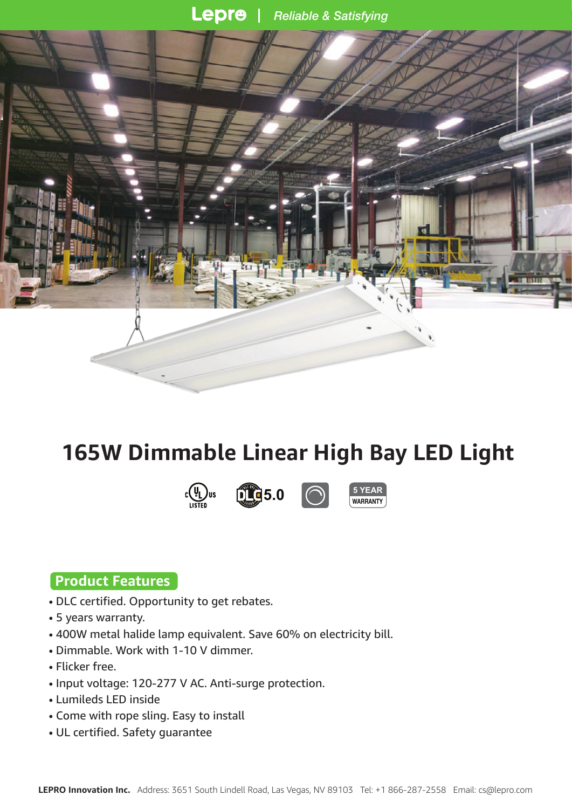Lepre **Reliable & Satisfying** 



# **165W Dimmable Linear High Bay LED Light**







### **Product Features**

- DLC certified. Opportunity to get rebates.
- 5 years warranty.
- 400W metal halide lamp equivalent. Save 60% on electricity bill.
- Dimmable. Work with 1-10 V dimmer.
- Flicker free.
- Input voltage: 120-277 V AC. Anti-surge protection.
- Lumileds LED inside
- Come with rope sling. Easy to install
- UL certified. Safety guarantee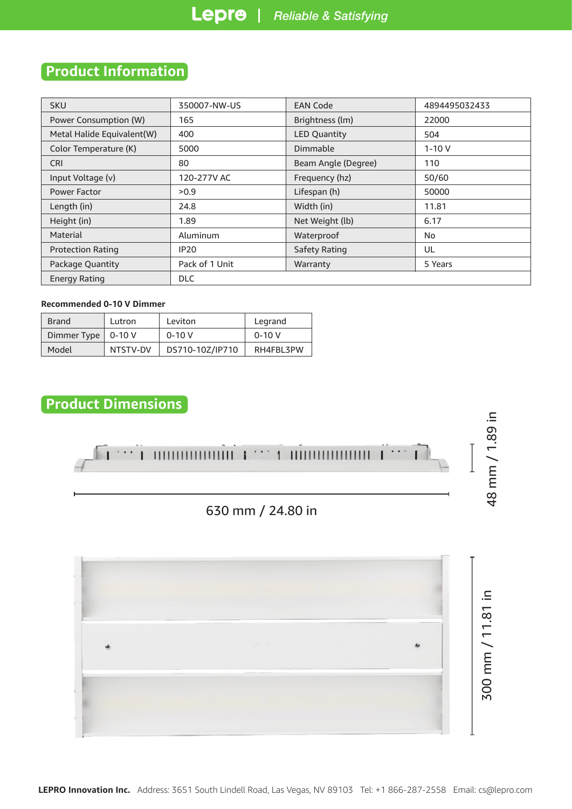## **Product Information**

| <b>SKU</b>                 | 350007-NW-US   | <b>EAN Code</b>     | 4894495032433 |  |  |  |
|----------------------------|----------------|---------------------|---------------|--|--|--|
| Power Consumption (W)      | 165            | Brightness (lm)     | 22000         |  |  |  |
| Metal Halide Equivalent(W) | 400            | <b>LED Quantity</b> | 504           |  |  |  |
| Color Temperature (K)      | 5000           | Dimmable            | $1 - 10V$     |  |  |  |
| <b>CRI</b>                 | 80             | Beam Angle (Degree) | 110           |  |  |  |
| Input Voltage (v)          | 120-277V AC    | Frequency (hz)      | 50/60         |  |  |  |
| Power Factor               | >0.9           | Lifespan (h)        | 50000         |  |  |  |
| Length (in)                | 24.8           | Width (in)          | 11.81         |  |  |  |
| Height (in)                | 1.89           | Net Weight (lb)     | 6.17          |  |  |  |
| Material                   | Aluminum       | Waterproof          | No            |  |  |  |
| <b>Protection Rating</b>   | <b>IP20</b>    | Safety Rating       | UL            |  |  |  |
| Package Quantity           | Pack of 1 Unit | Warranty            | 5 Years       |  |  |  |
| <b>Energy Rating</b>       | <b>DLC</b>     |                     |               |  |  |  |

#### **Recommended 0-10 V Dimmer**

| <b>Brand</b>         | Lutron   | Leviton         | Legrand   |  |  |
|----------------------|----------|-----------------|-----------|--|--|
| Dimmer Type   0-10 V |          | $0 - 10V$       | $0 - 10V$ |  |  |
| Model                | NTSTV-DV | DS710-10Z/IP710 | RH4FBL3PW |  |  |

# **Product Dimensions**

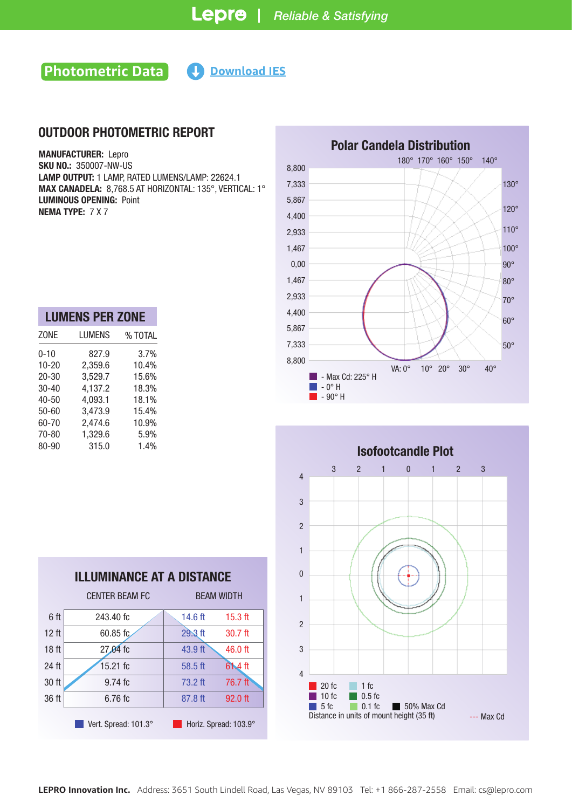### **Photometric Data Https://www.lepro.com/guide/ies/350007-NW-US/350007-NW-US/350007-NW-US/350007-NW-US/350007-NW-US/350007-NW-US/350007-NW-US/350007-NW-US/350007-NW-US/350007-NW-US/350007-NW-US/3500007-NW-US/3500007-NW-US**

#### OUTDOOR PHOTOMETRIC REPORT

MANUFACTURER: Lepro SKU NO.: 350007-NW-US LAMP OUTPUT: 1 LAMP, RATED LUMENS/LAMP: 22624.1 MAX CANADELA: 8,768.5 AT HORIZONTAL: 135°, VERTICAL: 1° LUMINOUS OPENING: Point NEMA TYPE: 7 X 7

| <b>LUMENS PER ZONE</b> |         |  |  |  |  |  |  |
|------------------------|---------|--|--|--|--|--|--|
| LUMENS                 | % TOTAL |  |  |  |  |  |  |
| 827.9                  | 3.7%    |  |  |  |  |  |  |
| 2,359.6                | 10.4%   |  |  |  |  |  |  |
| 3,529.7                | 15.6%   |  |  |  |  |  |  |
| 4,137.2                | 18.3%   |  |  |  |  |  |  |
| 4,093.1                | 18.1%   |  |  |  |  |  |  |
| 3,473.9                | 15.4%   |  |  |  |  |  |  |
| 2,474.6                | 10.9%   |  |  |  |  |  |  |
| 1,329.6                | 5.9%    |  |  |  |  |  |  |
| 315.0                  | 1.4%    |  |  |  |  |  |  |
|                        |         |  |  |  |  |  |  |

| <b>ILLUMINANCE AT A DISTANCE</b>              |                       |                   |           |  |  |
|-----------------------------------------------|-----------------------|-------------------|-----------|--|--|
|                                               | <b>CENTER BEAM FC</b> | <b>BEAM WIDTH</b> |           |  |  |
| 6 ft                                          | 243.40 fc             | $14.6$ ft         | $15.3$ ft |  |  |
| 12 <sub>ft</sub>                              | $60.85$ fc            | $29.3$ ft         | $30.7$ ft |  |  |
| 18 <sub>ft</sub>                              | 27.04 fc              | 43.9 ft           | 46.0 ft   |  |  |
| 24 ft                                         | $15.21$ fc            | 58.5 ft           | $61.4$ ft |  |  |
| 30 ft                                         | $9.74$ fc             | $73.2$ ft         | 76.7 ft   |  |  |
| 36 ft                                         | $6.76$ fc             | 87.8 ft           | 92.0 ft   |  |  |
| Vert. Spread: 101.3°<br>Horiz. Spread: 103.9° |                       |                   |           |  |  |